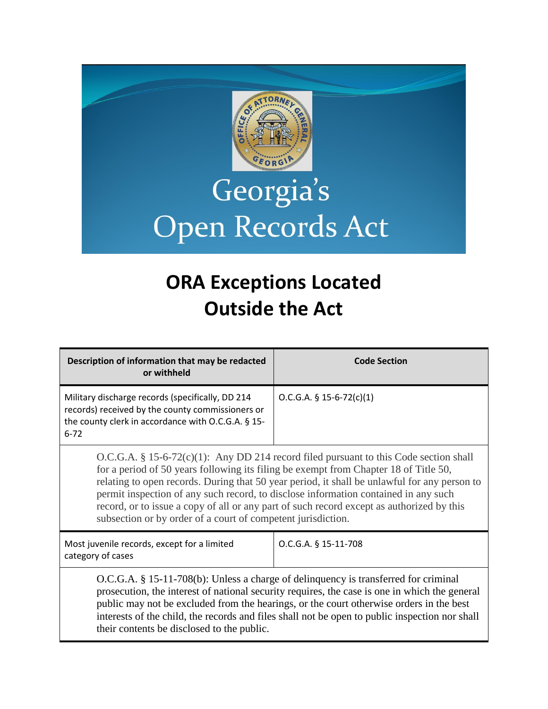

# Georgia's Open Records Act

## **ORA Exceptions Located Outside the Act**

| Description of information that may be redacted<br>or withheld                                                                                                                                                                                                                                                                                                                                                                                                                                                                      | <b>Code Section</b>        |
|-------------------------------------------------------------------------------------------------------------------------------------------------------------------------------------------------------------------------------------------------------------------------------------------------------------------------------------------------------------------------------------------------------------------------------------------------------------------------------------------------------------------------------------|----------------------------|
| Military discharge records (specifically, DD 214<br>records) received by the county commissioners or<br>the county clerk in accordance with O.C.G.A. § 15-<br>$6 - 72$                                                                                                                                                                                                                                                                                                                                                              | $O.C.G.A. § 15-6-72(c)(1)$ |
| $O.C.G.A. § 15-6-72(c)(1):$ Any DD 214 record filed pursuant to this Code section shall<br>for a period of 50 years following its filing be exempt from Chapter 18 of Title 50,<br>relating to open records. During that 50 year period, it shall be unlawful for any person to<br>permit inspection of any such record, to disclose information contained in any such<br>record, or to issue a copy of all or any part of such record except as authorized by this<br>subsection or by order of a court of competent jurisdiction. |                            |
| Most juvenile records, except for a limited<br>category of cases                                                                                                                                                                                                                                                                                                                                                                                                                                                                    | O.C.G.A. § 15-11-708       |
| $O.C.G.A. § 15-11-708(b)$ : Unless a charge of delinquency is transferred for criminal<br>prosecution, the interest of national security requires, the case is one in which the general<br>public may not be excluded from the hearings, or the court otherwise orders in the best<br>interests of the child, the records and files shall not be open to public inspection nor shall<br>their contents be disclosed to the public.                                                                                                  |                            |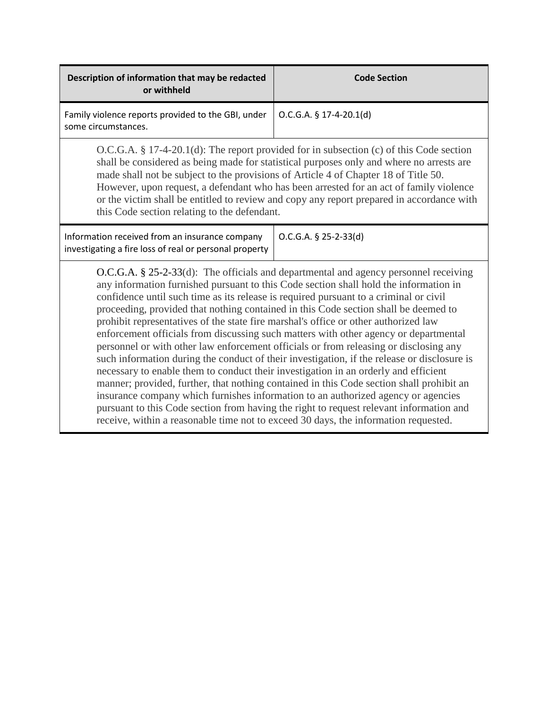| Description of information that may be redacted<br>or withheld                                                                                                                                                                                                                                                                                                                                                                                                                                                                                                                                                                                                                                                                                                                                                                                                                                                                                                                                                                                                                                                                                                                                 | <b>Code Section</b>       |
|------------------------------------------------------------------------------------------------------------------------------------------------------------------------------------------------------------------------------------------------------------------------------------------------------------------------------------------------------------------------------------------------------------------------------------------------------------------------------------------------------------------------------------------------------------------------------------------------------------------------------------------------------------------------------------------------------------------------------------------------------------------------------------------------------------------------------------------------------------------------------------------------------------------------------------------------------------------------------------------------------------------------------------------------------------------------------------------------------------------------------------------------------------------------------------------------|---------------------------|
| Family violence reports provided to the GBI, under<br>some circumstances.                                                                                                                                                                                                                                                                                                                                                                                                                                                                                                                                                                                                                                                                                                                                                                                                                                                                                                                                                                                                                                                                                                                      | $O.C.G.A. § 17-4-20.1(d)$ |
| $O.C.G.A. § 17-4-20.1(d)$ : The report provided for in subsection (c) of this Code section<br>shall be considered as being made for statistical purposes only and where no arrests are<br>made shall not be subject to the provisions of Article 4 of Chapter 18 of Title 50.<br>However, upon request, a defendant who has been arrested for an act of family violence<br>or the victim shall be entitled to review and copy any report prepared in accordance with<br>this Code section relating to the defendant.                                                                                                                                                                                                                                                                                                                                                                                                                                                                                                                                                                                                                                                                           |                           |
| Information received from an insurance company<br>investigating a fire loss of real or personal property                                                                                                                                                                                                                                                                                                                                                                                                                                                                                                                                                                                                                                                                                                                                                                                                                                                                                                                                                                                                                                                                                       | $O.C.G.A. § 25-2-33(d)$   |
| O.C.G.A. § 25-2-33(d): The officials and departmental and agency personnel receiving<br>any information furnished pursuant to this Code section shall hold the information in<br>confidence until such time as its release is required pursuant to a criminal or civil<br>proceeding, provided that nothing contained in this Code section shall be deemed to<br>prohibit representatives of the state fire marshal's office or other authorized law<br>enforcement officials from discussing such matters with other agency or departmental<br>personnel or with other law enforcement officials or from releasing or disclosing any<br>such information during the conduct of their investigation, if the release or disclosure is<br>necessary to enable them to conduct their investigation in an orderly and efficient<br>manner; provided, further, that nothing contained in this Code section shall prohibit an<br>insurance company which furnishes information to an authorized agency or agencies<br>pursuant to this Code section from having the right to request relevant information and<br>receive, within a reasonable time not to exceed 30 days, the information requested. |                           |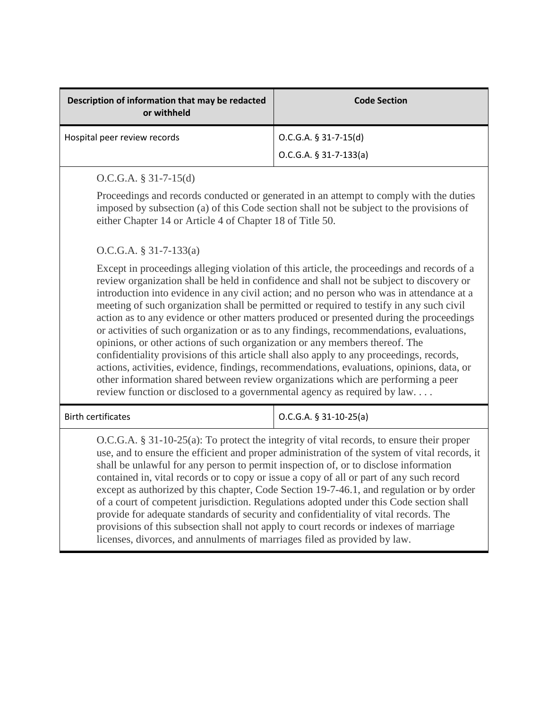| Description of information that may be redacted<br>or withheld | <b>Code Section</b>                                 |
|----------------------------------------------------------------|-----------------------------------------------------|
| Hospital peer review records                                   | $O.C.G.A. § 31-7-15(d)$<br>$O.C.G.A. § 31-7-133(a)$ |

## O.C.G.A. § 31-7-15(d)

Proceedings and records conducted or generated in an attempt to comply with the duties imposed by subsection (a) of this Code section shall not be subject to the provisions of either Chapter 14 or Article 4 of Chapter 18 of Title 50.

O.C.G.A. § 31-7-133(a)

Except in proceedings alleging violation of this article, the proceedings and records of a review organization shall be held in confidence and shall not be subject to discovery or introduction into evidence in any civil action; and no person who was in attendance at a meeting of such organization shall be permitted or required to testify in any such civil action as to any evidence or other matters produced or presented during the proceedings or activities of such organization or as to any findings, recommendations, evaluations, opinions, or other actions of such organization or any members thereof. The confidentiality provisions of this article shall also apply to any proceedings, records, actions, activities, evidence, findings, recommendations, evaluations, opinions, data, or other information shared between review organizations which are performing a peer review function or disclosed to a governmental agency as required by law. . . .

Birth certificates <br>  $\bigcup$  O.C.G.A. § 31-10-25(a)

O.C.G.A. § 31-10-25(a): To protect the integrity of vital records, to ensure their proper use, and to ensure the efficient and proper administration of the system of vital records, it shall be unlawful for any person to permit inspection of, or to disclose information contained in, vital records or to copy or issue a copy of all or part of any such record except as authorized by this chapter, [Code Section 19-7-46.1,](http://www.lexis.com/research/buttonTFLink?_m=0679932da51a51865ca0832b599978f7&_xfercite=%3ccite%20cc%3d%22USA%22%3e%3c%21%5bCDATA%5bO.C.G.A.%20%a7%2031-10-25%5d%5d%3e%3c%2fcite%3e&_butType=4&_butStat=0&_butNum=2&_butInline=1&_butinfo=GACODE%2019-7-46.1&_fmtstr=FULL&docnum=1&_startdoc=1&wchp=dGLbVzk-zSkAz&_md5=e625a5fc84390ffd384db0c3b4804b44) and regulation or by order of a court of competent jurisdiction. Regulations adopted under this Code section shall provide for adequate standards of security and confidentiality of vital records. The provisions of this subsection shall not apply to court records or indexes of marriage licenses, divorces, and annulments of marriages filed as provided by law.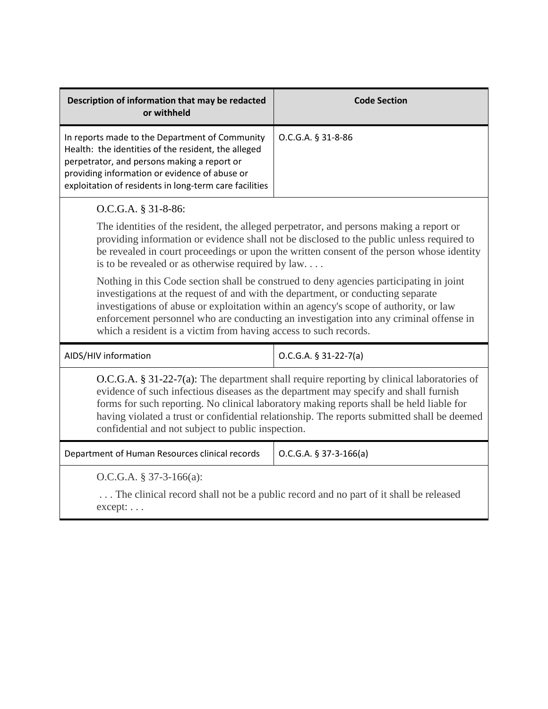| Description of information that may be redacted<br>or withheld                                                                                                                                                                                                                                                                                                                                                                        | <b>Code Section</b>     |
|---------------------------------------------------------------------------------------------------------------------------------------------------------------------------------------------------------------------------------------------------------------------------------------------------------------------------------------------------------------------------------------------------------------------------------------|-------------------------|
| In reports made to the Department of Community<br>Health: the identities of the resident, the alleged<br>perpetrator, and persons making a report or<br>providing information or evidence of abuse or<br>exploitation of residents in long-term care facilities                                                                                                                                                                       | O.C.G.A. § 31-8-86      |
| O.C.G.A. § 31-8-86:                                                                                                                                                                                                                                                                                                                                                                                                                   |                         |
| The identities of the resident, the alleged perpetrator, and persons making a report or<br>providing information or evidence shall not be disclosed to the public unless required to<br>be revealed in court proceedings or upon the written consent of the person whose identity<br>is to be revealed or as otherwise required by law                                                                                                |                         |
| Nothing in this Code section shall be construed to deny agencies participating in joint<br>investigations at the request of and with the department, or conducting separate<br>investigations of abuse or exploitation within an agency's scope of authority, or law<br>enforcement personnel who are conducting an investigation into any criminal offense in<br>which a resident is a victim from having access to such records.    |                         |
| AIDS/HIV information                                                                                                                                                                                                                                                                                                                                                                                                                  | $O.C.G.A. § 31-22-7(a)$ |
| $O.C.G.A. § 31-22-7(a)$ : The department shall require reporting by clinical laboratories of<br>evidence of such infectious diseases as the department may specify and shall furnish<br>forms for such reporting. No clinical laboratory making reports shall be held liable for<br>having violated a trust or confidential relationship. The reports submitted shall be deemed<br>confidential and not subject to public inspection. |                         |
| Department of Human Resources clinical records                                                                                                                                                                                                                                                                                                                                                                                        | O.C.G.A. § 37-3-166(a)  |
| O.C.G.A. $§$ 37-3-166(a):<br>The glinical regard shall not be a multig regard and no next of it shall be released                                                                                                                                                                                                                                                                                                                     |                         |

. . . The clinical record shall not be a public record and no part of it shall be released except: . . .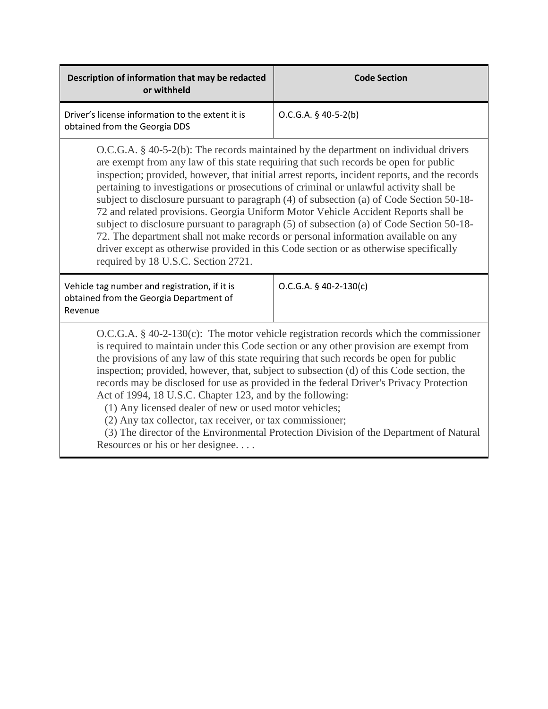| Description of information that may be redacted<br>or withheld                                                                                                                                                                                                                                                                                                                                                                                                                                                                                                                                                                                                                                                                                                                                                                                                                 | <b>Code Section</b>      |
|--------------------------------------------------------------------------------------------------------------------------------------------------------------------------------------------------------------------------------------------------------------------------------------------------------------------------------------------------------------------------------------------------------------------------------------------------------------------------------------------------------------------------------------------------------------------------------------------------------------------------------------------------------------------------------------------------------------------------------------------------------------------------------------------------------------------------------------------------------------------------------|--------------------------|
| Driver's license information to the extent it is<br>obtained from the Georgia DDS                                                                                                                                                                                                                                                                                                                                                                                                                                                                                                                                                                                                                                                                                                                                                                                              | $O.C.G.A. § 40-5-2(b)$   |
| $O.C.G.A. § 40-5-2(b)$ : The records maintained by the department on individual drivers<br>are exempt from any law of this state requiring that such records be open for public<br>inspection; provided, however, that initial arrest reports, incident reports, and the records<br>pertaining to investigations or prosecutions of criminal or unlawful activity shall be<br>subject to disclosure pursuant to paragraph (4) of subsection (a) of Code Section 50-18-<br>72 and related provisions. Georgia Uniform Motor Vehicle Accident Reports shall be<br>subject to disclosure pursuant to paragraph (5) of subsection (a) of Code Section 50-18-<br>72. The department shall not make records or personal information available on any<br>driver except as otherwise provided in this Code section or as otherwise specifically<br>required by 18 U.S.C. Section 2721. |                          |
| Vehicle tag number and registration, if it is<br>obtained from the Georgia Department of<br>Revenue                                                                                                                                                                                                                                                                                                                                                                                                                                                                                                                                                                                                                                                                                                                                                                            | $O.C.G.A. § 40-2-130(c)$ |
| $O.C.G.A. § 40-2-130(c)$ : The motor vehicle registration records which the commissioner<br>is required to maintain under this Code section or any other provision are exempt from<br>the provisions of any law of this state requiring that such records be open for public<br>inspection; provided, however, that, subject to subsection (d) of this Code section, the<br>records may be disclosed for use as provided in the federal Driver's Privacy Protection<br>Act of 1994, 18 U.S.C. Chapter 123, and by the following:<br>(1) Any licensed dealer of new or used motor vehicles;<br>(2) Any tax collector, tax receiver, or tax commissioner;<br>(3) The director of the Environmental Protection Division of the Department of Natural<br>Resources or his or her designee                                                                                          |                          |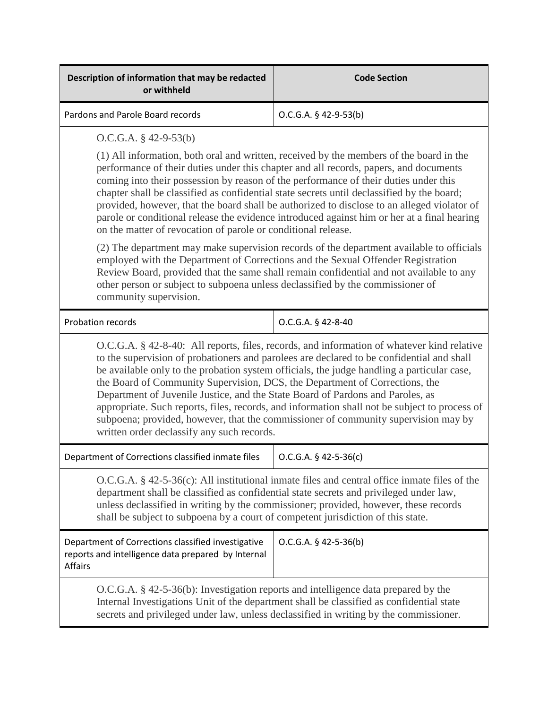| Description of information that may be redacted<br>or withheld                                                                                                                                                                                                                                                                                                                                                                                                                                                                                                                                                                                                                              | <b>Code Section</b>     |
|---------------------------------------------------------------------------------------------------------------------------------------------------------------------------------------------------------------------------------------------------------------------------------------------------------------------------------------------------------------------------------------------------------------------------------------------------------------------------------------------------------------------------------------------------------------------------------------------------------------------------------------------------------------------------------------------|-------------------------|
| Pardons and Parole Board records                                                                                                                                                                                                                                                                                                                                                                                                                                                                                                                                                                                                                                                            | $O.C.G.A. § 42-9-53(b)$ |
| $O.C.G.A. § 42-9-53(b)$                                                                                                                                                                                                                                                                                                                                                                                                                                                                                                                                                                                                                                                                     |                         |
| (1) All information, both oral and written, received by the members of the board in the<br>performance of their duties under this chapter and all records, papers, and documents<br>coming into their possession by reason of the performance of their duties under this<br>chapter shall be classified as confidential state secrets until declassified by the board;<br>provided, however, that the board shall be authorized to disclose to an alleged violator of<br>parole or conditional release the evidence introduced against him or her at a final hearing<br>on the matter of revocation of parole or conditional release.                                                       |                         |
| (2) The department may make supervision records of the department available to officials<br>employed with the Department of Corrections and the Sexual Offender Registration<br>Review Board, provided that the same shall remain confidential and not available to any<br>other person or subject to subpoena unless declassified by the commissioner of<br>community supervision.                                                                                                                                                                                                                                                                                                         |                         |
| Probation records                                                                                                                                                                                                                                                                                                                                                                                                                                                                                                                                                                                                                                                                           | O.C.G.A. § 42-8-40      |
| O.C.G.A. § 42-8-40: All reports, files, records, and information of whatever kind relative<br>to the supervision of probationers and parolees are declared to be confidential and shall<br>be available only to the probation system officials, the judge handling a particular case,<br>the Board of Community Supervision, DCS, the Department of Corrections, the<br>Department of Juvenile Justice, and the State Board of Pardons and Paroles, as<br>appropriate. Such reports, files, records, and information shall not be subject to process of<br>subpoena; provided, however, that the commissioner of community supervision may by<br>written order declassify any such records. |                         |
| Department of Corrections classified inmate files                                                                                                                                                                                                                                                                                                                                                                                                                                                                                                                                                                                                                                           | $O.C.G.A. § 42-5-36(c)$ |
| $O.C.G.A. § 42-5-36(c)$ : All institutional inmate files and central office inmate files of the<br>department shall be classified as confidential state secrets and privileged under law,<br>unless declassified in writing by the commissioner; provided, however, these records<br>shall be subject to subpoena by a court of competent jurisdiction of this state.                                                                                                                                                                                                                                                                                                                       |                         |
| Department of Corrections classified investigative<br>reports and intelligence data prepared by Internal<br>Affairs                                                                                                                                                                                                                                                                                                                                                                                                                                                                                                                                                                         | $O.C.G.A. § 42-5-36(b)$ |
| O.C.G.A. § 42-5-36(b): Investigation reports and intelligence data prepared by the<br>Internal Investigations Unit of the department shall be classified as confidential state<br>secrets and privileged under law, unless declassified in writing by the commissioner.                                                                                                                                                                                                                                                                                                                                                                                                                     |                         |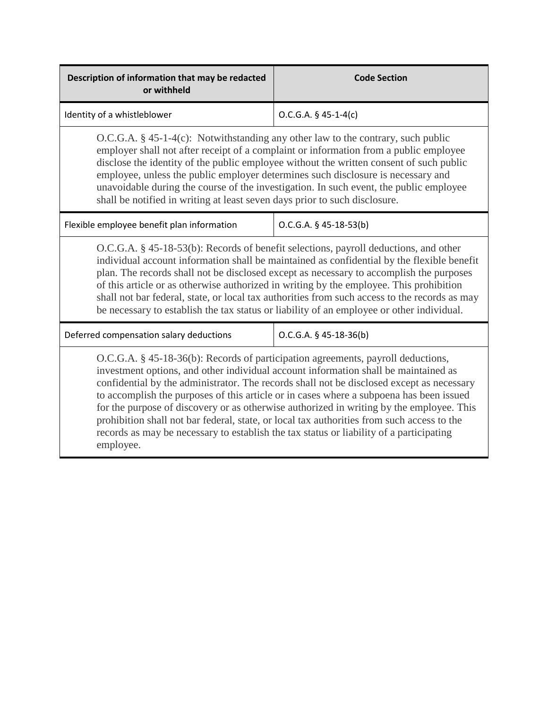| Description of information that may be redacted<br>or withheld                                                                                                                                                                                                                                                                                                                                                                                                                                                                                                                                                                                                    | <b>Code Section</b>      |
|-------------------------------------------------------------------------------------------------------------------------------------------------------------------------------------------------------------------------------------------------------------------------------------------------------------------------------------------------------------------------------------------------------------------------------------------------------------------------------------------------------------------------------------------------------------------------------------------------------------------------------------------------------------------|--------------------------|
| Identity of a whistleblower                                                                                                                                                                                                                                                                                                                                                                                                                                                                                                                                                                                                                                       | $O.C.G.A. § 45-1-4(c)$   |
| $O.C.G.A. § 45-1-4(c)$ : Notwithstanding any other law to the contrary, such public<br>employer shall not after receipt of a complaint or information from a public employee<br>disclose the identity of the public employee without the written consent of such public<br>employee, unless the public employer determines such disclosure is necessary and<br>unavoidable during the course of the investigation. In such event, the public employee<br>shall be notified in writing at least seven days prior to such disclosure.                                                                                                                               |                          |
| Flexible employee benefit plan information                                                                                                                                                                                                                                                                                                                                                                                                                                                                                                                                                                                                                        | $O.C.G.A. § 45-18-53(b)$ |
| O.C.G.A. § 45-18-53(b): Records of benefit selections, payroll deductions, and other<br>individual account information shall be maintained as confidential by the flexible benefit<br>plan. The records shall not be disclosed except as necessary to accomplish the purposes<br>of this article or as otherwise authorized in writing by the employee. This prohibition<br>shall not bar federal, state, or local tax authorities from such access to the records as may<br>be necessary to establish the tax status or liability of an employee or other individual.                                                                                            |                          |
| Deferred compensation salary deductions                                                                                                                                                                                                                                                                                                                                                                                                                                                                                                                                                                                                                           | $O.C.G.A. § 45-18-36(b)$ |
| O.C.G.A. § 45-18-36(b): Records of participation agreements, payroll deductions,<br>investment options, and other individual account information shall be maintained as<br>confidential by the administrator. The records shall not be disclosed except as necessary<br>to accomplish the purposes of this article or in cases where a subpoena has been issued<br>for the purpose of discovery or as otherwise authorized in writing by the employee. This<br>prohibition shall not bar federal, state, or local tax authorities from such access to the<br>records as may be necessary to establish the tax status or liability of a participating<br>employee. |                          |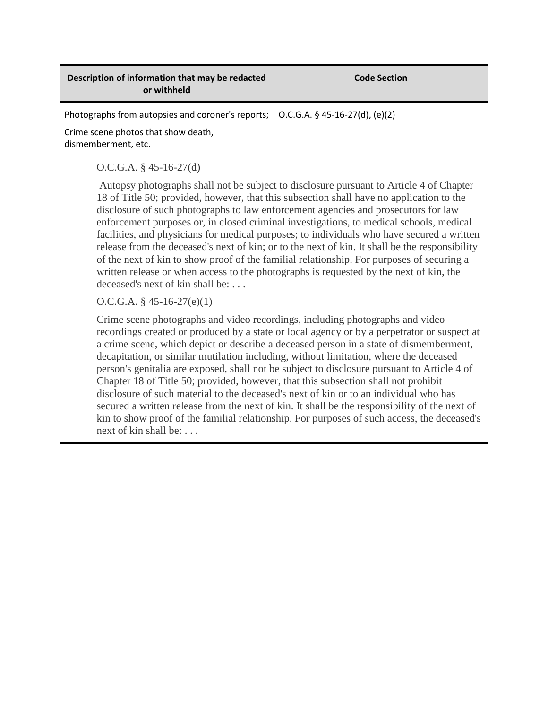| Description of information that may be redacted<br>or withheld                           | <b>Code Section</b> |
|------------------------------------------------------------------------------------------|---------------------|
| Photographs from autopsies and coroner's reports; $\vert$ O.C.G.A. § 45-16-27(d), (e)(2) |                     |
| Crime scene photos that show death,<br>dismemberment, etc.                               |                     |

## O.C.G.A. § 45-16-27(d)

Autopsy photographs shall not be subject to disclosure pursuant to Article 4 of Chapter 18 of Title 50; provided, however, that this subsection shall have no application to the disclosure of such photographs to law enforcement agencies and prosecutors for law enforcement purposes or, in closed criminal investigations, to medical schools, medical facilities, and physicians for medical purposes; to individuals who have secured a written release from the deceased's next of kin; or to the next of kin. It shall be the responsibility of the next of kin to show proof of the familial relationship. For purposes of securing a written release or when access to the photographs is requested by the next of kin, the deceased's next of kin shall be: . . .

## O.C.G.A. § 45-16-27(e)(1)

Crime scene photographs and video recordings, including photographs and video recordings created or produced by a state or local agency or by a perpetrator or suspect at a crime scene, which depict or describe a deceased person in a state of dismemberment, decapitation, or similar mutilation including, without limitation, where the deceased person's genitalia are exposed, shall not be subject to disclosure pursuant to Article 4 of Chapter 18 of Title 50; provided, however, that this subsection shall not prohibit disclosure of such material to the deceased's next of kin or to an individual who has secured a written release from the next of kin. It shall be the responsibility of the next of kin to show proof of the familial relationship. For purposes of such access, the deceased's next of kin shall be: . . .